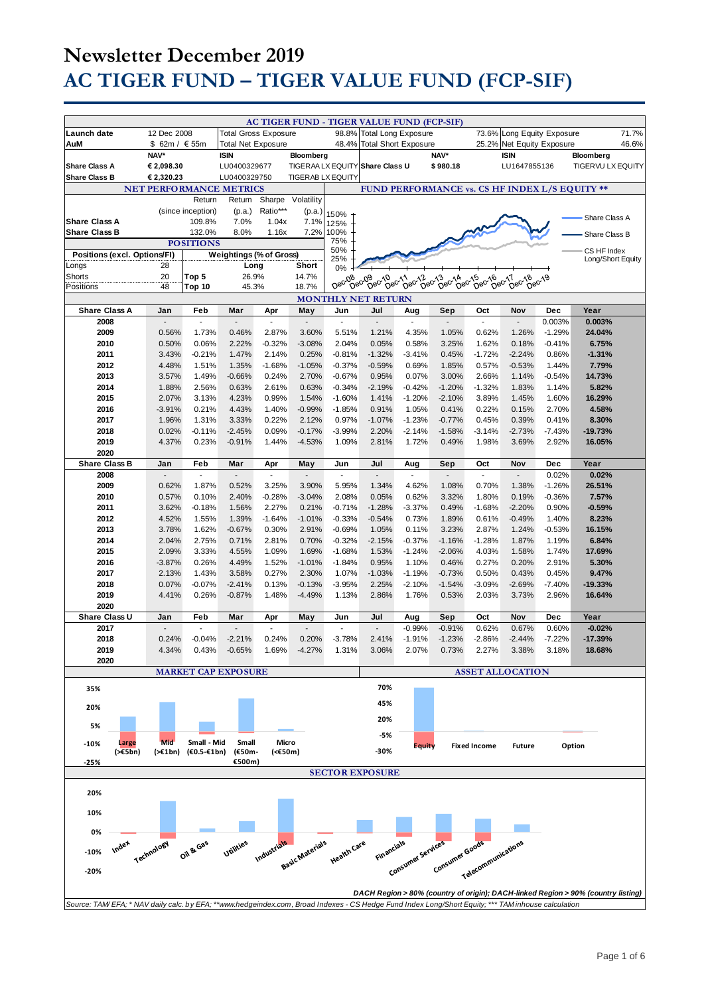|                                                                                                                                                             |                                |                                 |                             |                       |                       |                                 | <b>AC TIGER FUND - TIGER VALUE FUND (FCP-SIF)</b> |                       |                                            |                                 |                             |                          |                                                                                   |
|-------------------------------------------------------------------------------------------------------------------------------------------------------------|--------------------------------|---------------------------------|-----------------------------|-----------------------|-----------------------|---------------------------------|---------------------------------------------------|-----------------------|--------------------------------------------|---------------------------------|-----------------------------|--------------------------|-----------------------------------------------------------------------------------|
| Launch date                                                                                                                                                 | 12 Dec 2008                    |                                 | <b>Total Gross Exposure</b> |                       |                       | 98.8%                           | <b>Total Long Exposure</b>                        |                       |                                            | 73.6%                           | Long Equity Exposure        |                          | 71.7%                                                                             |
| AuM                                                                                                                                                         | \$ 62m / € 55m                 |                                 | <b>Total Net Exposure</b>   |                       |                       | 48.4%                           | <b>Total Short Exposure</b>                       |                       |                                            | 25.2%                           | Net Equity Exposure         |                          | 46.6%                                                                             |
| <b>Share Class A</b>                                                                                                                                        | NAV*<br>€ 2,098.30             |                                 | <b>ISIN</b><br>LU0400329677 |                       | Bloomberg             |                                 | TIGERAA LX EQUITY Share Class U                   |                       | NAV*<br>\$980.18                           |                                 | <b>ISIN</b><br>LU1647855136 |                          | Bloomberg<br><b>TIGERVU LX EQUITY</b>                                             |
| <b>Share Class B</b>                                                                                                                                        | € 2,320.23                     |                                 | LU0400329750                |                       | TIGERAB LX EQUITY     |                                 |                                                   |                       |                                            |                                 |                             |                          |                                                                                   |
|                                                                                                                                                             | <b>NET PERFORMANCE METRICS</b> |                                 |                             |                       |                       |                                 |                                                   |                       |                                            |                                 |                             |                          | FUND PERFORMANCE vs. CS HF INDEX L/S EQUITY **                                    |
|                                                                                                                                                             |                                | Return                          | Return                      | Sharpe                | Volatility            |                                 |                                                   |                       |                                            |                                 |                             |                          |                                                                                   |
|                                                                                                                                                             |                                | (since inception)               | (p.a.)                      | Ratio***              | (p.a.)                | 150%                            |                                                   |                       |                                            |                                 |                             |                          | Share Class A                                                                     |
| <b>Share Class A</b><br><b>Share Class B</b>                                                                                                                |                                | 109.8%<br>132.0%                | 7.0%<br>8.0%                | 1.04x<br>1.16x        | 7.1%<br>7.2%          | 125%<br>100%                    |                                                   |                       |                                            |                                 |                             |                          |                                                                                   |
|                                                                                                                                                             |                                | <b>POSITIONS</b>                |                             |                       |                       | 75%                             |                                                   |                       |                                            |                                 |                             |                          | Share Class B                                                                     |
| Positions (excl. Options/FI)                                                                                                                                |                                |                                 | Weightings (% of Gross)     |                       |                       | 50%<br>25%                      |                                                   |                       |                                            |                                 |                             |                          | CS HF Index<br>Long/Short Equity                                                  |
| Longs                                                                                                                                                       | 28                             |                                 | Long                        |                       | <b>Short</b>          | 0%                              |                                                   |                       |                                            |                                 |                             |                          |                                                                                   |
| Shorts<br>Positions                                                                                                                                         | 20<br>48                       | Top 5<br>Top 10                 | 26.9%<br>45.3%              |                       | 14.7%<br>18.7%        | Dec-08                          | Dec <sub>09</sub>                                 | 09 06011 06012        | $5e^{c^2/3}$<br>13 cc14 cc15<br>Dec14 cc15 | Dec-16                          | bec-17<br>Dec-18            | $b^{\text{e}c^{\prime}}$ |                                                                                   |
| <b>MONTHLY NET RETURN</b>                                                                                                                                   |                                |                                 |                             |                       |                       |                                 |                                                   |                       |                                            |                                 |                             |                          |                                                                                   |
| <b>Share Class A</b>                                                                                                                                        | Jan                            | Feb                             | Mar                         | Apr                   | May                   | Jun                             | Jul                                               | Aug                   | Sep                                        | Oct                             | Nov                         | <b>Dec</b>               | Year                                                                              |
| 2008                                                                                                                                                        |                                | $\overline{\phantom{a}}$        |                             | ÷,                    |                       | ÷,                              | $\overline{a}$                                    |                       |                                            |                                 | ÷.                          | 0.003%                   | 0.003%                                                                            |
| 2009                                                                                                                                                        | 0.56%                          | 1.73%                           | 0.46%                       | 2.87%                 | 3.60%                 | 5.51%                           | 1.21%                                             | 4.35%                 | 1.05%                                      | 0.62%                           | 1.26%                       | $-1.29%$                 | 24.04%                                                                            |
| 2010<br>2011                                                                                                                                                | 0.50%<br>3.43%                 | 0.06%<br>$-0.21%$               | 2.22%<br>1.47%              | $-0.32%$<br>2.14%     | $-3.08%$<br>0.25%     | 2.04%<br>$-0.81%$               | 0.05%<br>$-1.32%$                                 | 0.58%<br>$-3.41%$     | 3.25%<br>0.45%                             | 1.62%<br>$-1.72%$               | 0.18%<br>$-2.24%$           | $-0.41%$<br>0.86%        | 6.75%<br>$-1.31%$                                                                 |
| 2012                                                                                                                                                        | 4.48%                          | 1.51%                           | 1.35%                       | $-1.68%$              | $-1.05%$              | $-0.37%$                        | $-0.59%$                                          | 0.69%                 | 1.85%                                      | 0.57%                           | $-0.53%$                    | 1.44%                    | 7.79%                                                                             |
| 2013                                                                                                                                                        | 3.57%                          | 1.49%                           | $-0.66%$                    | 0.24%                 | 2.70%                 | $-0.67%$                        | 0.95%                                             | 0.07%                 | 3.00%                                      | 2.66%                           | 1.14%                       | $-0.54%$                 | 14.73%                                                                            |
| 2014                                                                                                                                                        | 1.88%                          | 2.56%                           | 0.63%                       | 2.61%                 | 0.63%                 | $-0.34%$                        | $-2.19%$                                          | $-0.42%$              | $-1.20%$                                   | $-1.32%$                        | 1.83%                       | 1.14%                    | 5.82%                                                                             |
| 2015                                                                                                                                                        | 2.07%                          | 3.13%                           | 4.23%                       | 0.99%                 | 1.54%                 | $-1.60%$                        | 1.41%                                             | $-1.20%$              | $-2.10%$                                   | 3.89%                           | 1.45%                       | 1.60%                    | 16.29%                                                                            |
| 2016                                                                                                                                                        | $-3.91%$                       | 0.21%                           | 4.43%                       | 1.40%                 | $-0.99%$              | $-1.85%$                        | 0.91%                                             | 1.05%<br>$-1.23%$     | 0.41%                                      | 0.22%                           | 0.15%                       | 2.70%                    | 4.58%                                                                             |
| 2017<br>2018                                                                                                                                                | 1.96%<br>0.02%                 | 1.31%<br>$-0.11%$               | 3.33%<br>$-2.45%$           | 0.22%<br>0.09%        | 2.12%<br>$-0.17%$     | 0.97%<br>$-3.99%$               | $-1.07%$<br>2.20%                                 | $-2.14%$              | $-0.77%$<br>$-1.58%$                       | 0.45%<br>$-3.14%$               | 0.39%<br>$-2.73%$           | 0.41%<br>$-7.43%$        | 8.30%<br>$-19.73%$                                                                |
| 2019                                                                                                                                                        | 4.37%                          | 0.23%                           | $-0.91%$                    | 1.44%                 | $-4.53%$              | 1.09%                           | 2.81%                                             | 1.72%                 | 0.49%                                      | 1.98%                           | 3.69%                       | 2.92%                    | 16.05%                                                                            |
| 2020                                                                                                                                                        |                                |                                 |                             |                       |                       |                                 |                                                   |                       |                                            |                                 |                             |                          |                                                                                   |
| <b>Share Class B</b>                                                                                                                                        | Jan                            | Feb<br>$\overline{\phantom{a}}$ | Mar<br>u                    | Apr<br>$\blacksquare$ | May<br>$\overline{a}$ | Jun<br>$\overline{\phantom{a}}$ | Jul<br>$\overline{a}$                             | Aug<br>$\blacksquare$ | Sep<br>$\overline{a}$                      | Oct<br>$\overline{\phantom{a}}$ | Nov                         | Dec                      | Year<br>0.02%                                                                     |
| 2008<br>2009                                                                                                                                                | 0.62%                          | 1.87%                           | 0.52%                       | 3.25%                 | 3.90%                 | 5.95%                           | 1.34%                                             | 4.62%                 | 1.08%                                      | 0.70%                           | 1.38%                       | 0.02%<br>$-1.26%$        | 26.51%                                                                            |
| 2010                                                                                                                                                        | 0.57%                          | 0.10%                           | 2.40%                       | $-0.28%$              | $-3.04%$              | 2.08%                           | 0.05%                                             | 0.62%                 | 3.32%                                      | 1.80%                           | 0.19%                       | $-0.36%$                 | 7.57%                                                                             |
| 2011                                                                                                                                                        | 3.62%                          | $-0.18%$                        | 1.56%                       | 2.27%                 | 0.21%                 | $-0.71%$                        | $-1.28%$                                          | $-3.37%$              | 0.49%                                      | $-1.68%$                        | $-2.20%$                    | 0.90%                    | $-0.59%$                                                                          |
| 2012                                                                                                                                                        | 4.52%                          | 1.55%                           | 1.39%                       | $-1.64%$              | $-1.01%$              | $-0.33%$                        | $-0.54%$                                          | 0.73%                 | 1.89%                                      | 0.61%                           | $-0.49%$                    | 1.40%                    | 8.23%                                                                             |
| 2013                                                                                                                                                        | 3.78%                          | 1.62%                           | $-0.67%$                    | 0.30%                 | 2.91%                 | $-0.69%$                        | 1.05%                                             | 0.11%                 | 3.23%                                      | 2.87%                           | 1.24%                       | $-0.53%$                 | 16.15%                                                                            |
| 2014<br>2015                                                                                                                                                | 2.04%<br>2.09%                 | 2.75%<br>3.33%                  | 0.71%<br>4.55%              | 2.81%<br>1.09%        | 0.70%<br>1.69%        | $-0.32%$<br>$-1.68%$            | $-2.15%$<br>1.53%                                 | $-0.37%$<br>$-1.24%$  | $-1.16%$<br>$-2.06%$                       | $-1.28%$<br>4.03%               | 1.87%<br>1.58%              | 1.19%<br>1.74%           | 6.84%<br>17.69%                                                                   |
| 2016                                                                                                                                                        | $-3.87%$                       | 0.26%                           | 4.49%                       | 1.52%                 | $-1.01%$              | $-1.84%$                        | 0.95%                                             | 1.10%                 | 0.46%                                      | 0.27%                           | 0.20%                       | 2.91%                    | 5.30%                                                                             |
| 2017                                                                                                                                                        | 2.13%                          | 1.43%                           | 3.58%                       | 0.27%                 | 2.30%                 | 1.07%                           | $-1.03%$                                          | $-1.19%$              | $-0.73%$                                   | 0.50%                           | 0.43%                       | 0.45%                    | 9.47%                                                                             |
| 2018                                                                                                                                                        | 0.07%                          | $-0.07%$                        | $-2.41%$                    | 0.13%                 | $-0.13%$              | $-3.95%$                        | 2.25%                                             | $-2.10%$              | $-1.54%$                                   | $-3.09%$                        | $-2.69%$                    | $-7.40%$                 | $-19.33%$                                                                         |
| 2019<br>2020                                                                                                                                                | 4.41%                          | 0.26%                           | $-0.87%$                    | 1.48%                 | $-4.49%$              | 1.13%                           | 2.86%                                             | 1.76%                 | 0.53%                                      | 2.03%                           | 3.73%                       | 2.96%                    | 16.64%                                                                            |
| Share Class U                                                                                                                                               | Jan                            | Feb                             | Mar                         | Apr                   | May                   | Jun                             | Jul                                               | Aug                   | Sep                                        | Oct                             | Nov                         | Dec                      | Year                                                                              |
| 2017                                                                                                                                                        | $\blacksquare$                 | $\sim$                          | $\overline{a}$              | $\sim$                | $\overline{a}$        | $\sim$                          | ÷.                                                | $-0.99%$              | $-0.91%$                                   | 0.62%                           | 0.67%                       | 0.60%                    | $-0.02%$                                                                          |
| 2018                                                                                                                                                        | 0.24%                          | $-0.04%$                        | $-2.21%$                    | 0.24%                 | 0.20%                 | $-3.78%$                        | 2.41%                                             | $-1.91%$              | $-1.23%$                                   | $-2.86%$                        | $-2.44%$                    | $-7.22%$                 | $-17.39%$                                                                         |
| 2019<br>2020                                                                                                                                                | 4.34%                          | 0.43%                           | $-0.65%$                    | 1.69%                 | $-4.27%$              | 1.31%                           | 3.06%                                             | 2.07%                 | 0.73%                                      | 2.27%                           | 3.38%                       | 3.18%                    | 18.68%                                                                            |
|                                                                                                                                                             |                                |                                 | <b>MARKET CAP EXPOSURE</b>  |                       |                       |                                 |                                                   |                       |                                            |                                 | <b>ASSET ALLOCATION</b>     |                          |                                                                                   |
| 35%                                                                                                                                                         |                                |                                 |                             |                       |                       |                                 | 70%                                               |                       |                                            |                                 |                             |                          |                                                                                   |
|                                                                                                                                                             |                                |                                 |                             |                       |                       |                                 | 45%                                               |                       |                                            |                                 |                             |                          |                                                                                   |
| 20%                                                                                                                                                         |                                |                                 |                             |                       |                       |                                 | 20%                                               |                       |                                            |                                 |                             |                          |                                                                                   |
| 5%                                                                                                                                                          |                                |                                 |                             |                       |                       |                                 |                                                   |                       |                                            |                                 |                             |                          |                                                                                   |
| Large<br>$-10%$                                                                                                                                             | Mid                            | Small - Mid                     | Small                       | Micro                 |                       |                                 | -5%                                               | <b>Equity</b>         |                                            | <b>Fixed Income</b>             | <b>Future</b>               |                          | Option                                                                            |
| $(\geq 5$ bn)                                                                                                                                               |                                | (>€1bn) (€0.5-€1bn)             | (€50m-<br>€500m)            | (<€50m)               |                       |                                 | -30%                                              |                       |                                            |                                 |                             |                          |                                                                                   |
| $-25%$                                                                                                                                                      |                                |                                 |                             |                       |                       |                                 | <b>SECTOR EXPOSURE</b>                            |                       |                                            |                                 |                             |                          |                                                                                   |
|                                                                                                                                                             |                                |                                 |                             |                       |                       |                                 |                                                   |                       |                                            |                                 |                             |                          |                                                                                   |
| 20%                                                                                                                                                         |                                |                                 |                             |                       |                       |                                 |                                                   |                       |                                            |                                 |                             |                          |                                                                                   |
| 10%                                                                                                                                                         |                                |                                 |                             |                       |                       |                                 |                                                   |                       |                                            |                                 |                             |                          |                                                                                   |
| 0%                                                                                                                                                          |                                |                                 |                             |                       |                       |                                 |                                                   |                       |                                            |                                 |                             |                          |                                                                                   |
| index                                                                                                                                                       |                                |                                 | Utilities                   |                       |                       |                                 |                                                   |                       |                                            |                                 |                             |                          |                                                                                   |
| Industrials<br>Financials<br>Consumer services<br>Oil & Gas<br>Basic Materials<br>Health Care<br>Consumer Goods<br>Technology<br>Telecommunications<br>-10% |                                |                                 |                             |                       |                       |                                 |                                                   |                       |                                            |                                 |                             |                          |                                                                                   |
| $-20%$                                                                                                                                                      |                                |                                 |                             |                       |                       |                                 |                                                   |                       |                                            |                                 |                             |                          |                                                                                   |
|                                                                                                                                                             |                                |                                 |                             |                       |                       |                                 |                                                   |                       |                                            |                                 |                             |                          |                                                                                   |
| Source: TAM/EFA; * NAV daily calc. by EFA; **www.hedgeindex.com, Broad Indexes - CS Hedge Fund Index Long/Short Equity; *** TAM inhouse calculation         |                                |                                 |                             |                       |                       |                                 |                                                   |                       |                                            |                                 |                             |                          | DACH Region > 80% (country of origin); DACH-linked Region > 90% (country listing) |
|                                                                                                                                                             |                                |                                 |                             |                       |                       |                                 |                                                   |                       |                                            |                                 |                             |                          |                                                                                   |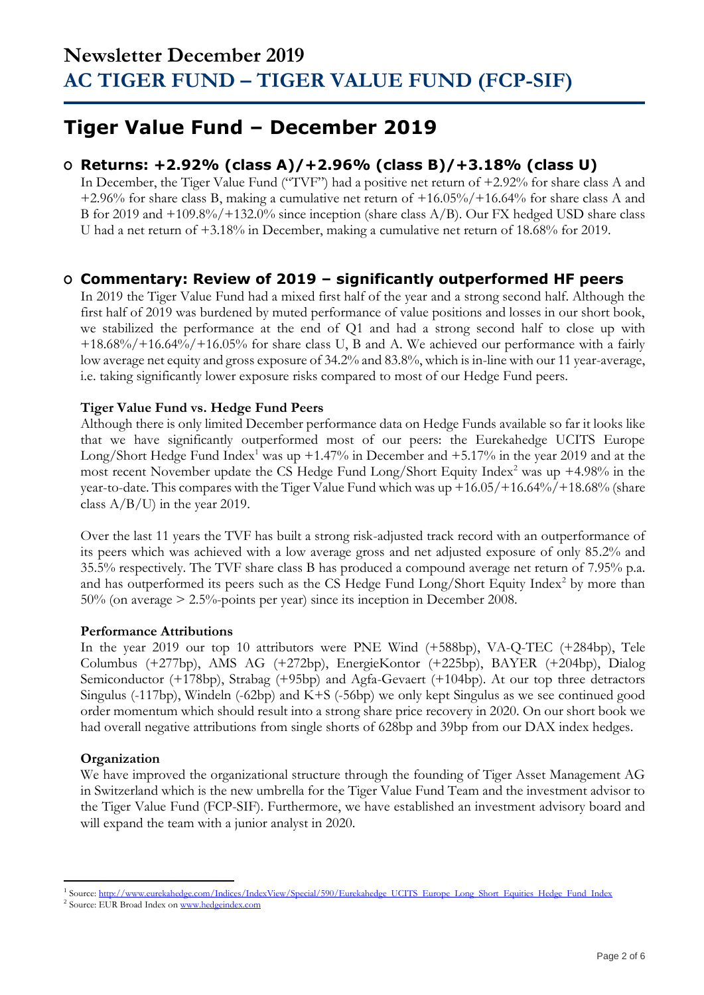### **Tiger Value Fund – December 2019**

### **O Returns: +2.92% (class A)/+2.96% (class B)/+3.18% (class U)**

In December, the Tiger Value Fund ("TVF") had a positive net return of  $+2.92\%$  for share class A and +2.96% for share class B, making a cumulative net return of +16.05%/+16.64% for share class A and B for 2019 and +109.8%/+132.0% since inception (share class A/B). Our FX hedged USD share class U had a net return of +3.18% in December, making a cumulative net return of 18.68% for 2019.

### **O Commentary: Review of 2019 – significantly outperformed HF peers**

In 2019 the Tiger Value Fund had a mixed first half of the year and a strong second half. Although the first half of 2019 was burdened by muted performance of value positions and losses in our short book, we stabilized the performance at the end of Q1 and had a strong second half to close up with  $+18.68\%/+16.64\%/+16.05\%$  for share class U, B and A. We achieved our performance with a fairly low average net equity and gross exposure of 34.2% and 83.8%, which is in-line with our 11 year-average, i.e. taking significantly lower exposure risks compared to most of our Hedge Fund peers.

### **Tiger Value Fund vs. Hedge Fund Peers**

Although there is only limited December performance data on Hedge Funds available so far it looks like that we have significantly outperformed most of our peers: the Eurekahedge UCITS Europe Long/Short Hedge Fund Index<sup>1</sup> was up +1.47% in December and +5.17% in the year 2019 and at the most recent November update the CS Hedge Fund Long/Short Equity Index<sup>2</sup> was up  $+4.98\%$  in the year-to-date. This compares with the Tiger Value Fund which was up  $+16.05/+16.64\%/+18.68\%$  (share class A/B/U) in the year 2019.

Over the last 11 years the TVF has built a strong risk-adjusted track record with an outperformance of its peers which was achieved with a low average gross and net adjusted exposure of only 85.2% and 35.5% respectively. The TVF share class B has produced a compound average net return of 7.95% p.a. and has outperformed its peers such as the CS Hedge Fund  $Long/Short$  Equity Index<sup>2</sup> by more than 50% (on average > 2.5%-points per year) since its inception in December 2008.

### **Performance Attributions**

In the year 2019 our top 10 attributors were PNE Wind (+588bp), VA-Q-TEC (+284bp), Tele Columbus (+277bp), AMS AG (+272bp), EnergieKontor (+225bp), BAYER (+204bp), Dialog Semiconductor (+178bp), Strabag (+95bp) and Agfa-Gevaert (+104bp). At our top three detractors Singulus (-117bp), Windeln (-62bp) and K+S (-56bp) we only kept Singulus as we see continued good order momentum which should result into a strong share price recovery in 2020. On our short book we had overall negative attributions from single shorts of 628bp and 39bp from our DAX index hedges.

### **Organization**

We have improved the organizational structure through the founding of Tiger Asset Management AG in Switzerland which is the new umbrella for the Tiger Value Fund Team and the investment advisor to the Tiger Value Fund (FCP-SIF). Furthermore, we have established an investment advisory board and will expand the team with a junior analyst in 2020.

<sup>&</sup>lt;sup>1</sup> Source[: http://www.eurekahedge.com/Indices/IndexView/Special/590/Eurekahedge\\_UCITS\\_Europe\\_Long\\_Short\\_Equities\\_Hedge\\_Fund\\_Index](http://www.eurekahedge.com/Indices/IndexView/Special/590/Eurekahedge_UCITS_Europe_Long_Short_Equities_Hedge_Fund_Index)

<sup>&</sup>lt;sup>2</sup> Source: EUR Broad Index o[n www.hedgeindex.com](http://www.hedgeindex.com/)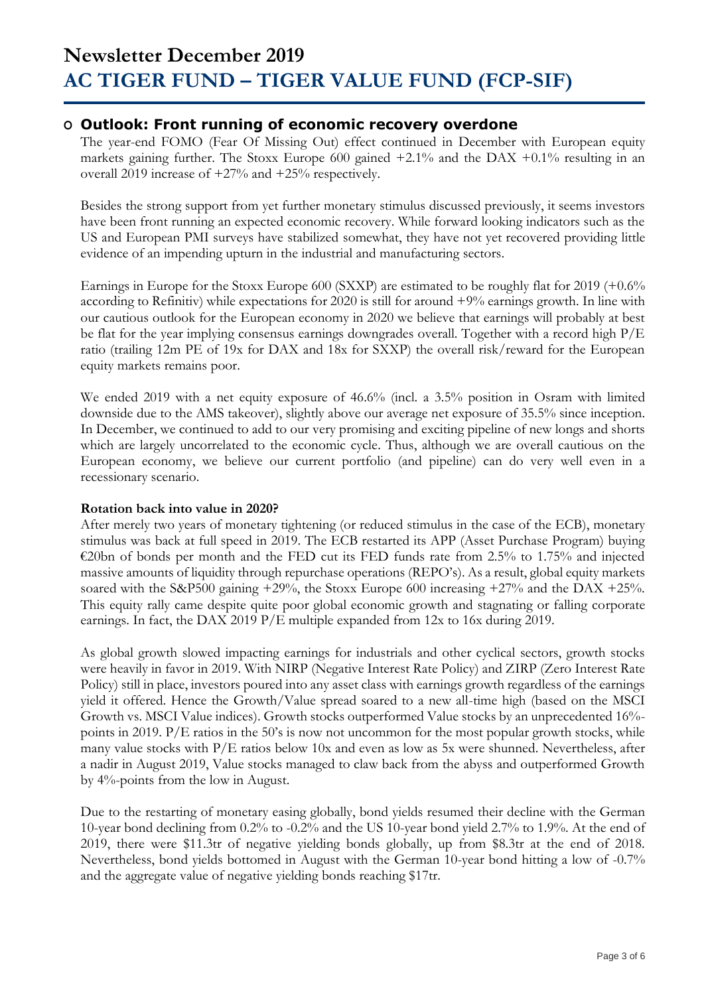### **O Outlook: Front running of economic recovery overdone**

The year-end FOMO (Fear Of Missing Out) effect continued in December with European equity markets gaining further. The Stoxx Europe 600 gained  $+2.1\%$  and the DAX  $+0.1\%$  resulting in an overall 2019 increase of +27% and +25% respectively.

Besides the strong support from yet further monetary stimulus discussed previously, it seems investors have been front running an expected economic recovery. While forward looking indicators such as the US and European PMI surveys have stabilized somewhat, they have not yet recovered providing little evidence of an impending upturn in the industrial and manufacturing sectors.

Earnings in Europe for the Stoxx Europe 600 (SXXP) are estimated to be roughly flat for 2019 (+0.6% according to Refinitiv) while expectations for 2020 is still for around +9% earnings growth. In line with our cautious outlook for the European economy in 2020 we believe that earnings will probably at best be flat for the year implying consensus earnings downgrades overall. Together with a record high P/E ratio (trailing 12m PE of 19x for DAX and 18x for SXXP) the overall risk/reward for the European equity markets remains poor.

We ended 2019 with a net equity exposure of 46.6% (incl. a 3.5% position in Osram with limited downside due to the AMS takeover), slightly above our average net exposure of 35.5% since inception. In December, we continued to add to our very promising and exciting pipeline of new longs and shorts which are largely uncorrelated to the economic cycle. Thus, although we are overall cautious on the European economy, we believe our current portfolio (and pipeline) can do very well even in a recessionary scenario.

### **Rotation back into value in 2020?**

After merely two years of monetary tightening (or reduced stimulus in the case of the ECB), monetary stimulus was back at full speed in 2019. The ECB restarted its APP (Asset Purchase Program) buying €20bn of bonds per month and the FED cut its FED funds rate from 2.5% to 1.75% and injected massive amounts of liquidity through repurchase operations (REPO's). As a result, global equity markets soared with the S&P500 gaining +29%, the Stoxx Europe 600 increasing +27% and the DAX +25%. This equity rally came despite quite poor global economic growth and stagnating or falling corporate earnings. In fact, the DAX 2019 P/E multiple expanded from 12x to 16x during 2019.

As global growth slowed impacting earnings for industrials and other cyclical sectors, growth stocks were heavily in favor in 2019. With NIRP (Negative Interest Rate Policy) and ZIRP (Zero Interest Rate Policy) still in place, investors poured into any asset class with earnings growth regardless of the earnings yield it offered. Hence the Growth/Value spread soared to a new all-time high (based on the MSCI Growth vs. MSCI Value indices). Growth stocks outperformed Value stocks by an unprecedented 16% points in 2019. P/E ratios in the 50's is now not uncommon for the most popular growth stocks, while many value stocks with P/E ratios below 10x and even as low as 5x were shunned. Nevertheless, after a nadir in August 2019, Value stocks managed to claw back from the abyss and outperformed Growth by 4%-points from the low in August.

Due to the restarting of monetary easing globally, bond yields resumed their decline with the German 10-year bond declining from 0.2% to -0.2% and the US 10-year bond yield 2.7% to 1.9%. At the end of 2019, there were \$11.3tr of negative yielding bonds globally, up from \$8.3tr at the end of 2018. Nevertheless, bond yields bottomed in August with the German 10-year bond hitting a low of -0.7% and the aggregate value of negative yielding bonds reaching \$17tr.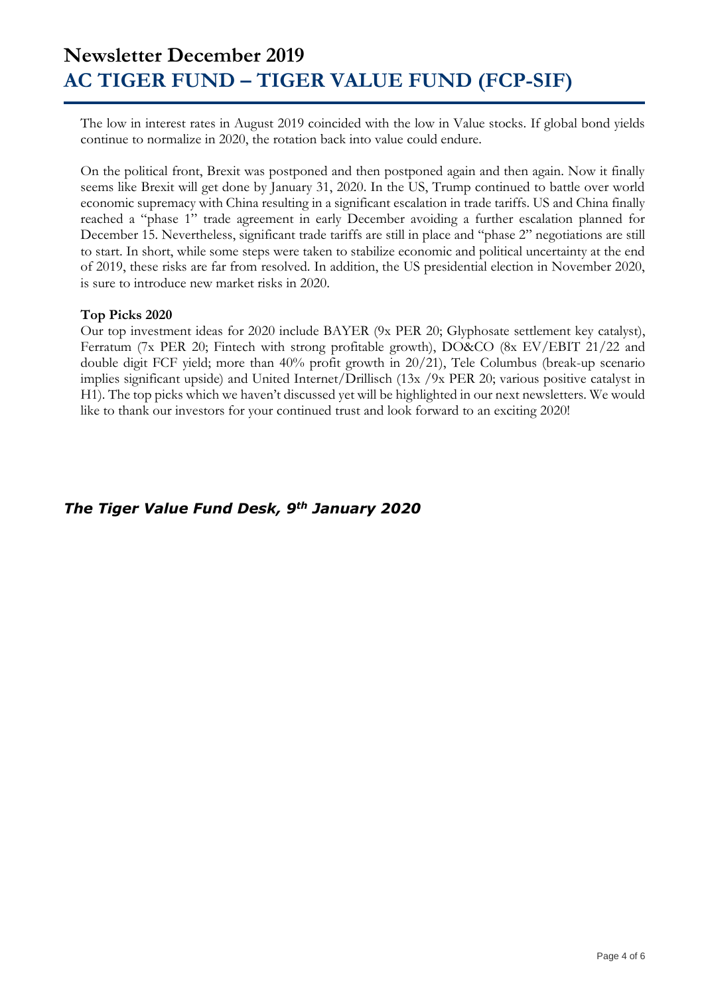The low in interest rates in August 2019 coincided with the low in Value stocks. If global bond yields continue to normalize in 2020, the rotation back into value could endure.

On the political front, Brexit was postponed and then postponed again and then again. Now it finally seems like Brexit will get done by January 31, 2020. In the US, Trump continued to battle over world economic supremacy with China resulting in a significant escalation in trade tariffs. US and China finally reached a "phase 1" trade agreement in early December avoiding a further escalation planned for December 15. Nevertheless, significant trade tariffs are still in place and "phase 2" negotiations are still to start. In short, while some steps were taken to stabilize economic and political uncertainty at the end of 2019, these risks are far from resolved. In addition, the US presidential election in November 2020, is sure to introduce new market risks in 2020.

#### **Top Picks 2020**

Our top investment ideas for 2020 include BAYER (9x PER 20; Glyphosate settlement key catalyst), Ferratum (7x PER 20; Fintech with strong profitable growth), DO&CO (8x EV/EBIT 21/22 and double digit FCF yield; more than 40% profit growth in 20/21), Tele Columbus (break-up scenario implies significant upside) and United Internet/Drillisch (13x /9x PER 20; various positive catalyst in H1). The top picks which we haven't discussed yet will be highlighted in our next newsletters. We would like to thank our investors for your continued trust and look forward to an exciting 2020!

### *The Tiger Value Fund Desk, 9th January 2020*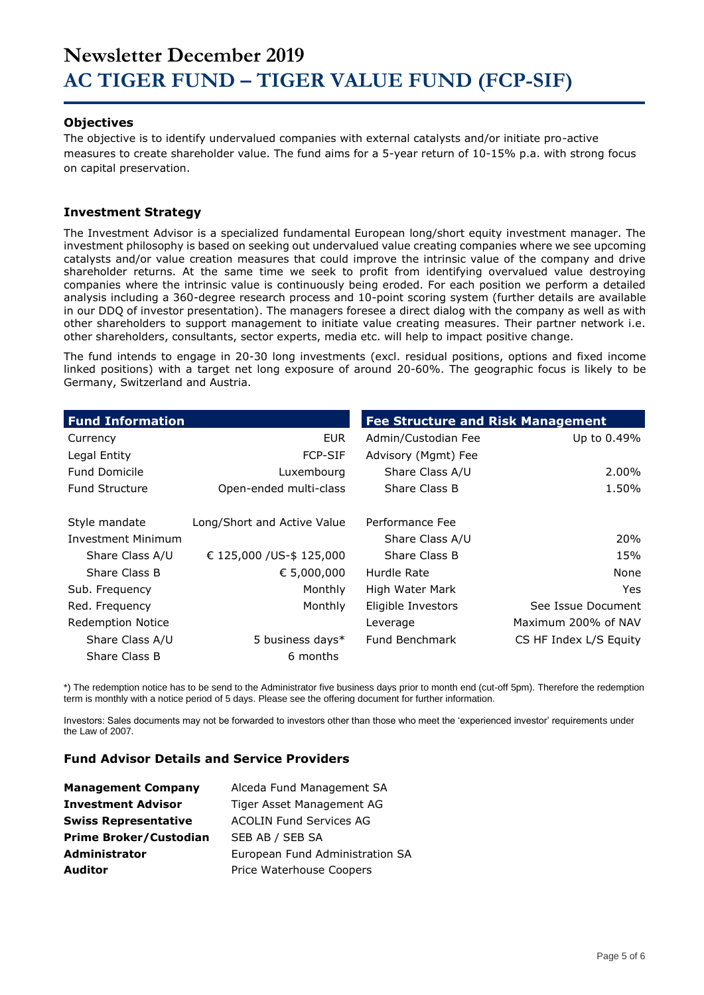#### **Objectives**

The objective is to identify undervalued companies with external catalysts and/or initiate pro-active measures to create shareholder value. The fund aims for a 5-year return of 10-15% p.a. with strong focus on capital preservation.

#### **Investment Strategy**

The Investment Advisor is a specialized fundamental European long/short equity investment manager. The investment philosophy is based on seeking out undervalued value creating companies where we see upcoming catalysts and/or value creation measures that could improve the intrinsic value of the company and drive shareholder returns. At the same time we seek to profit from identifying overvalued value destroying companies where the intrinsic value is continuously being eroded. For each position we perform a detailed analysis including a 360-degree research process and 10-point scoring system (further details are available in our DDQ of investor presentation). The managers foresee a direct dialog with the company as well as with other shareholders to support management to initiate value creating measures. Their partner network i.e. other shareholders, consultants, sector experts, media etc. will help to impact positive change.

The fund intends to engage in 20-30 long investments (excl. residual positions, options and fixed income linked positions) with a target net long exposure of around 20-60%. The geographic focus is likely to be Germany, Switzerland and Austria.

| <b>Fund Information</b>   |                             | <b>Fee Structure and Risk Management</b> |                        |
|---------------------------|-----------------------------|------------------------------------------|------------------------|
| Currency                  | <b>EUR</b>                  | Admin/Custodian Fee                      | Up to 0.49%            |
| Legal Entity              | <b>FCP-SIF</b>              | Advisory (Mgmt) Fee                      |                        |
| <b>Fund Domicile</b>      | Luxembourg                  | Share Class A/U                          | 2.00%                  |
| <b>Fund Structure</b>     | Open-ended multi-class      | Share Class B                            | 1.50%                  |
| Style mandate             | Long/Short and Active Value | Performance Fee                          |                        |
| <b>Investment Minimum</b> |                             | Share Class A/U                          | 20%                    |
| Share Class A/U           | € 125,000 / US-\$ 125,000   | Share Class B                            | 15%                    |
| Share Class B             | € 5,000,000                 | Hurdle Rate                              | None                   |
| Sub. Frequency            | Monthly                     | High Water Mark                          | <b>Yes</b>             |
| Red. Frequency            | Monthly                     | Eligible Investors                       | See Issue Document     |
| <b>Redemption Notice</b>  |                             | Leverage                                 | Maximum 200% of NAV    |
| Share Class A/U           | 5 business days*            | Fund Benchmark                           | CS HF Index L/S Equity |
| Share Class B             | 6 months                    |                                          |                        |

\*) The redemption notice has to be send to the Administrator five business days prior to month end (cut-off 5pm). Therefore the redemption term is monthly with a notice period of 5 days. Please see the offering document for further information.

Investors: Sales documents may not be forwarded to investors other than those who meet the 'experienced investor' requirements under the Law of 2007.

#### **Fund Advisor Details and Service Providers**

| <b>Management Company</b>     | Alceda Fund Management SA       |
|-------------------------------|---------------------------------|
| <b>Investment Advisor</b>     | Tiger Asset Management AG       |
| <b>Swiss Representative</b>   | <b>ACOLIN Fund Services AG</b>  |
| <b>Prime Broker/Custodian</b> | SEB AB / SEB SA                 |
| <b>Administrator</b>          | European Fund Administration SA |
| <b>Auditor</b>                | Price Waterhouse Coopers        |